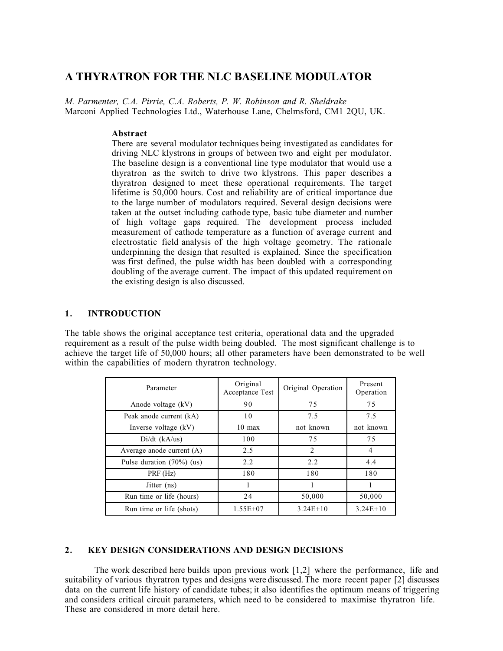# **A THYRATRON FOR THE NLC BASELINE MODULATOR**

*M. Parmenter, C.A. Pirrie, C.A. Roberts, P. W. Robinson and R. Sheldrake* Marconi Applied Technologies Ltd., Waterhouse Lane, Chelmsford, CM1 2QU, UK.

#### **Abstract**

There are several modulator techniques being investigated as candidates for driving NLC klystrons in groups of between two and eight per modulator. The baseline design is a conventional line type modulator that would use a thyratron as the switch to drive two klystrons. This paper describes a thyratron designed to meet these operational requirements. The target lifetime is 50,000 hours. Cost and reliability are of critical importance due to the large number of modulators required. Several design decisions were taken at the outset including cathode type, basic tube diameter and number of high voltage gaps required. The development process included measurement of cathode temperature as a function of average current and electrostatic field analysis of the high voltage geometry. The rationale underpinning the design that resulted is explained. Since the specification was first defined, the pulse width has been doubled with a corresponding doubling of the average current. The impact of this updated requirement on the existing design is also discussed.

#### **1. INTRODUCTION**

The table shows the original acceptance test criteria, operational data and the upgraded requirement as a result of the pulse width being doubled. The most significant challenge is to achieve the target life of 50,000 hours; all other parameters have been demonstrated to be well within the capabilities of modern thyratron technology.

| Parameter                    | Original<br>Acceptance Test | Original Operation | Present<br>Operation |
|------------------------------|-----------------------------|--------------------|----------------------|
| Anode voltage (kV)           | 90                          | 75                 | 75                   |
| Peak anode current (kA)      | 10                          | 7.5                | 7.5                  |
| Inverse voltage $(kV)$       | $10 \text{ max}$            | not known          | not known            |
| $Di/dt$ (kA/us)              | 100                         | 75                 | 75                   |
| Average anode current $(A)$  | 2.5                         | $\mathfrak{D}$     | $\overline{4}$       |
| Pulse duration $(70\%)$ (us) | 2.2                         | 2.2                | 4.4                  |
| PRF (Hz)                     | 180                         | 180                | 180                  |
| Jitter (ns)                  |                             |                    |                      |
| Run time or life (hours)     | 24                          | 50,000             | 50,000               |
| Run time or life (shots)     | $1.55E + 07$                | $3.24E+10$         | $3.24E+10$           |

## **2. KEY DESIGN CONSIDERATIONS AND DESIGN DECISIONS**

The work described here builds upon previous work [1,2] where the performance, life and suitability of various thyratron types and designs were discussed. The more recent paper [2] discusses data on the current life history of candidate tubes; it also identifies the optimum means of triggering and considers critical circuit parameters, which need to be considered to maximise thyratron life. These are considered in more detail here.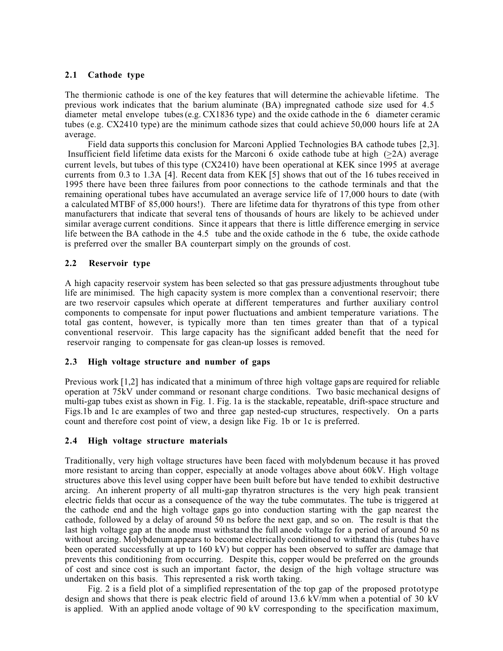# **2.1 Cathode type**

The thermionic cathode is one of the key features that will determine the achievable lifetime. The previous work indicates that the barium aluminate (BA) impregnated cathode size used for 4.5 diameter metal envelope tubes (e.g. CX1836 type) and the oxide cathode in the 6 diameter ceramic tubes (e.g. CX2410 type) are the minimum cathode sizes that could achieve 50,000 hours life at 2A average.

Field data supports this conclusion for Marconi Applied Technologies BA cathode tubes [2,3]. Insufficient field lifetime data exists for the Marconi 6 oxide cathode tube at high  $(\geq 2A)$  average current levels, but tubes of this type (CX2410) have been operational at KEK since 1995 at average currents from 0.3 to 1.3A [4]. Recent data from KEK [5] shows that out of the 16 tubes received in 1995 there have been three failures from poor connections to the cathode terminals and that the remaining operational tubes have accumulated an average service life of 17,000 hours to date (with a calculated MTBF of 85,000 hours!). There are lifetime data for thyratrons of this type from other manufacturers that indicate that several tens of thousands of hours are likely to be achieved under similar average current conditions. Since it appears that there is little difference emerging in service life between the BA cathode in the 4.5 tube and the oxide cathode in the 6 tube, the oxide cathode is preferred over the smaller BA counterpart simply on the grounds of cost.

## **2.2 Reservoir type**

A high capacity reservoir system has been selected so that gas pressure adjustments throughout tube life are minimised. The high capacity system is more complex than a conventional reservoir; there are two reservoir capsules which operate at different temperatures and further auxiliary control components to compensate for input power fluctuations and ambient temperature variations. The total gas content, however, is typically more than ten times greater than that of a typical conventional reservoir. This large capacity has the significant added benefit that the need for reservoir ranging to compensate for gas clean-up losses is removed.

## **2.3 High voltage structure and number of gaps**

Previous work [1,2] has indicated that a minimum of three high voltage gaps are required for reliable operation at 75kV under command or resonant charge conditions. Two basic mechanical designs of multi-gap tubes exist as shown in Fig. 1. Fig. 1a is the stackable, repeatable, drift-space structure and Figs.1b and 1c are examples of two and three gap nested-cup structures, respectively. On a parts count and therefore cost point of view, a design like Fig. 1b or 1c is preferred.

## **2.4 High voltage structure materials**

Traditionally, very high voltage structures have been faced with molybdenum because it has proved more resistant to arcing than copper, especially at anode voltages above about 60kV. High voltage structures above this level using copper have been built before but have tended to exhibit destructive arcing. An inherent property of all multi-gap thyratron structures is the very high peak transient electric fields that occur as a consequence of the way the tube commutates. The tube is triggered at the cathode end and the high voltage gaps go into conduction starting with the gap nearest the cathode, followed by a delay of around 50 ns before the next gap, and so on. The result is that the last high voltage gap at the anode must withstand the full anode voltage for a period of around 50 ns without arcing. Molybdenum appears to become electrically conditioned to withstand this (tubes have been operated successfully at up to 160 kV) but copper has been observed to suffer arc damage that prevents this conditioning from occurring. Despite this, copper would be preferred on the grounds of cost and since cost is such an important factor, the design of the high voltage structure was undertaken on this basis. This represented a risk worth taking.

Fig. 2 is a field plot of a simplified representation of the top gap of the proposed prototype design and shows that there is peak electric field of around 13.6 kV/mm when a potential of 30 kV is applied. With an applied anode voltage of 90 kV corresponding to the specification maximum,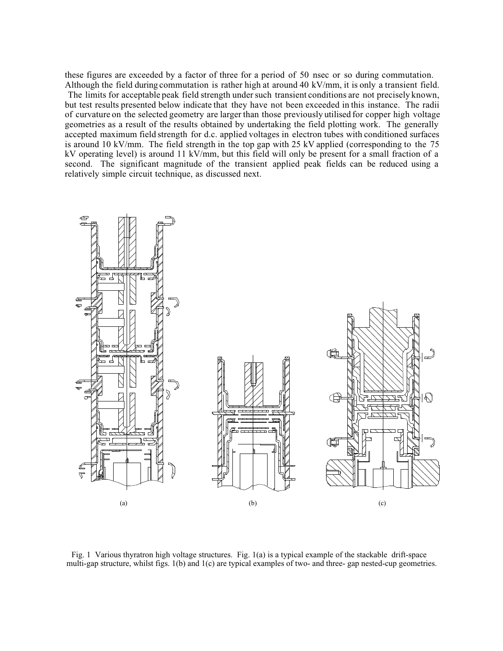these figures are exceeded by a factor of three for a period of 50 nsec or so during commutation. Although the field during commutation is rather high at around 40 kV/mm, it is only a transient field. The limits for acceptable peak field strength under such transient conditions are not precisely known, but test results presented below indicate that they have not been exceeded in this instance. The radii of curvature on the selected geometry are larger than those previously utilised for copper high voltage geometries as a result of the results obtained by undertaking the field plotting work. The generally accepted maximum field strength for d.c. applied voltages in electron tubes with conditioned surfaces is around 10 kV/mm. The field strength in the top gap with 25 kV applied (corresponding to the 75 kV operating level) is around 11 kV/mm, but this field will only be present for a small fraction of a second. The significant magnitude of the transient applied peak fields can be reduced using a relatively simple circuit technique, as discussed next.



Fig. 1 Various thyratron high voltage structures. Fig. 1(a) is a typical example of the stackable drift-space multi-gap structure, whilst figs. 1(b) and 1(c) are typical examples of two- and three- gap nested-cup geometries.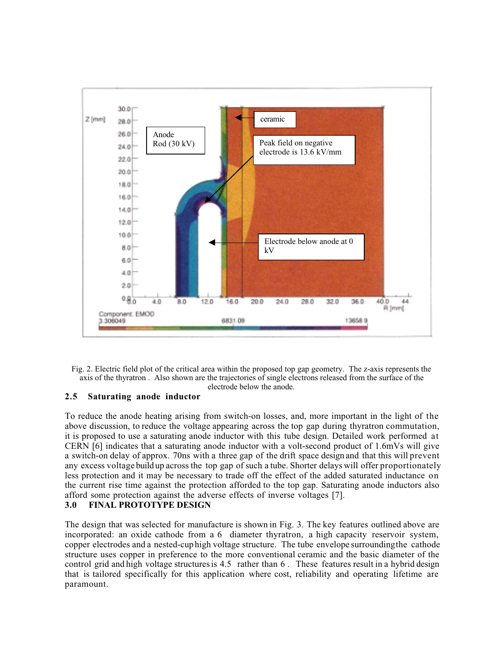

Fig. 2. Electric field plot of the critical area within the proposed top gap geometry. The z-axis represents the axis of the thyratron . Also shown are the trajectories of single electrons released from the surface of the electrode below the anode.

## **2.5 Saturating anode inductor**

To reduce the anode heating arising from switch-on losses, and, more important in the light of the above discussion, to reduce the voltage appearing across the top gap during thyratron commutation, it is proposed to use a saturating anode inductor with this tube design. Detailed work performed at CERN [6] indicates that a saturating anode inductor with a volt-second product of 1.6mVs will give a switch-on delay of approx. 70ns with a three gap of the drift space design and that this will prevent any excess voltage build up across the top gap of such a tube. Shorter delays will offer proportionately less protection and it may be necessary to trade off the effect of the added saturated inductance on the current rise time against the protection afforded to the top gap. Saturating anode inductors also afford some protection against the adverse effects of inverse voltages [7].<br>3.0 FINAL PROTOTYPE DESIGN

#### **3.0 FINAL PROTOTYPE DESIGN**

The design that was selected for manufacture is shown in Fig. 3. The key features outlined above are incorporated: an oxide cathode from a 6 diameter thyratron, a high capacity reservoir system, copper electrodes and a nested-cup high voltage structure. The tube envelope surrounding the cathode structure uses copper in preference to the more conventional ceramic and the basic diameter of the control grid and high voltage structures is 4.5 rather than 6 . These features result in a hybrid design that is tailored specifically for this application where cost, reliability and operating lifetime are paramount.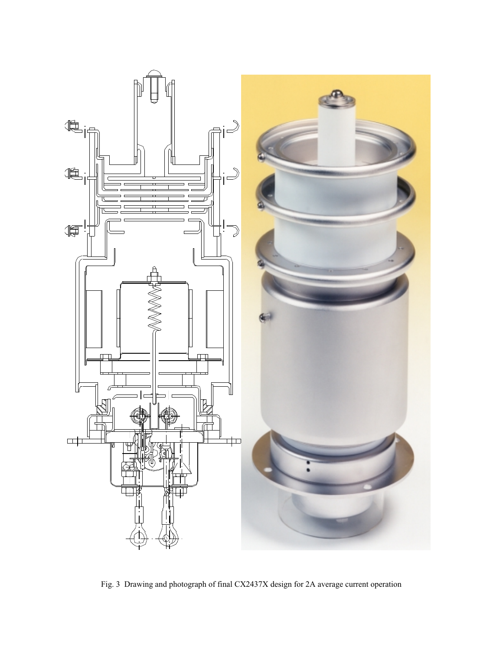

Fig. 3 Drawing and photograph of final CX2437X design for 2A average current operation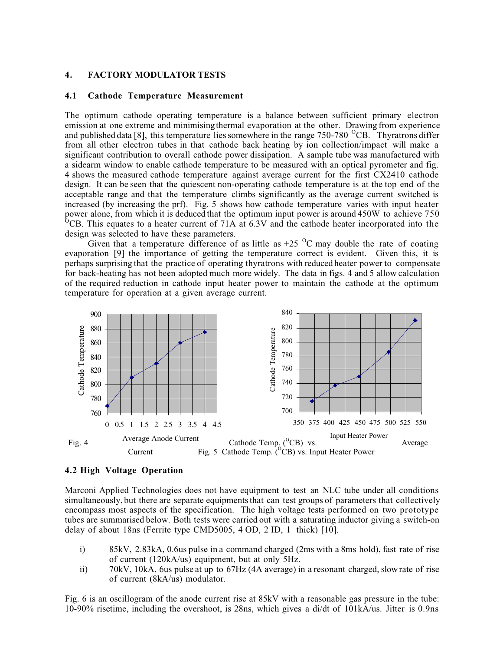#### **4. FACTORY MODULATOR TESTS**

#### **4.1 Cathode Temperature Measurement**

The optimum cathode operating temperature is a balance between sufficient primary electron emission at one extreme and minimising thermal evaporation at the other. Drawing from experience and published data [8], this temperature lies somewhere in the range  $750$ -780  $^{0}$ CB. Thyratrons differ from all other electron tubes in that cathode back heating by ion collection/impact will make a significant contribution to overall cathode power dissipation. A sample tube was manufactured with a sidearm window to enable cathode temperature to be measured with an optical pyrometer and fig. 4 shows the measured cathode temperature against average current for the first CX2410 cathode design. It can be seen that the quiescent non-operating cathode temperature is at the top end of the acceptable range and that the temperature climbs significantly as the average current switched is increased (by increasing the prf). Fig. 5 shows how cathode temperature varies with input heater power alone, from which it is deduced that the optimum input power is around 450W to achieve 750 <sup>O</sup>CB. This equates to a heater current of 71A at 6.3V and the cathode heater incorporated into the design was selected to have these parameters.

Given that a temperature difference of as little as  $+25\ ^{0}C$  may double the rate of coating evaporation [9] the importance of getting the temperature correct is evident. Given this, it is perhaps surprising that the practice of operating thyratrons with reduced heater power to compensate for back-heating has not been adopted much more widely. The data in figs. 4 and 5 allow calculation of the required reduction in cathode input heater power to maintain the cathode at the optimum temperature for operation at a given average current.



#### **4.2 High Voltage Operation**

Marconi Applied Technologies does not have equipment to test an NLC tube under all conditions simultaneously, but there are separate equipments that can test groups of parameters that collectively encompass most aspects of the specification. The high voltage tests performed on two prototype tubes are summarised below. Both tests were carried out with a saturating inductor giving a switch-on delay of about 18ns (Ferrite type CMD5005, 4 OD, 2 ID, 1 thick) [10].

- i) 85kV, 2.83kA, 0.6us pulse in a command charged (2ms with a 8ms hold), fast rate of rise of current (120kA/us) equipment, but at only 5Hz.
- ii) 70kV, 10kA, 6us pulse at up to 67Hz (4A average) in a resonant charged, slow rate of rise of current (8kA/us) modulator.

Fig. 6 is an oscillogram of the anode current rise at 85kV with a reasonable gas pressure in the tube: 10-90% risetime, including the overshoot, is 28ns, which gives a di/dt of 101kA/us. Jitter is 0.9ns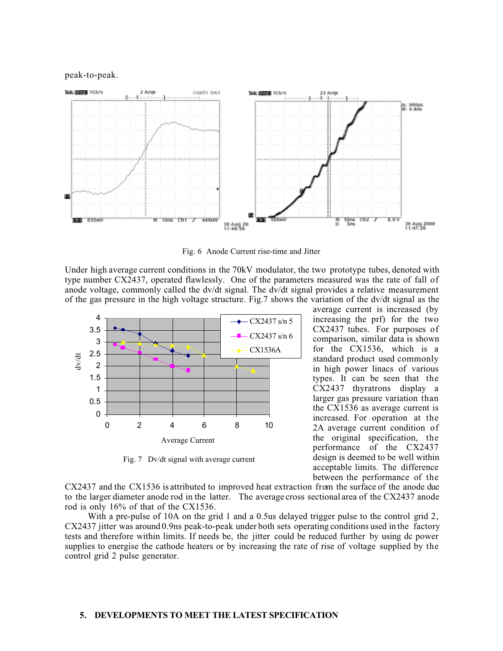peak-to-peak.



Fig. 6 Anode Current rise-time and Jitter

Under high average current conditions in the 70kV modulator, the two prototype tubes, denoted with type number CX2437, operated flawlessly. One of the parameters measured was the rate of fall of anode voltage, commonly called the dv/dt signal. The dv/dt signal provides a relative measurement of the gas pressure in the high voltage structure. Fig.7 shows the variation of the dv/dt signal as the



Fig. 7 Dv/dt signal with average current

average current is increased (by increasing the prf) for the two CX2437 tubes. For purposes of comparison, similar data is shown for the CX1536, which is a standard product used commonly in high power linacs of various types. It can be seen that the CX2437 thyratrons display a larger gas pressure variation than the CX1536 as average current is increased. For operation at the 2A average current condition of the original specification, the performance of the CX2437 design is deemed to be well within acceptable limits. The difference between the performance of the

CX2437 and the CX1536 is attributed to improved heat extraction from the surface of the anode due to the larger diameter anode rod in the latter. The average cross sectional area of the CX2437 anode rod is only 16% of that of the CX1536.

With a pre-pulse of 10A on the grid 1 and a 0.5us delayed trigger pulse to the control grid 2, CX2437 jitter was around 0.9ns peak-to-peak under both sets operating conditions used in the factory tests and therefore within limits. If needs be, the jitter could be reduced further by using dc power supplies to energise the cathode heaters or by increasing the rate of rise of voltage supplied by the control grid 2 pulse generator.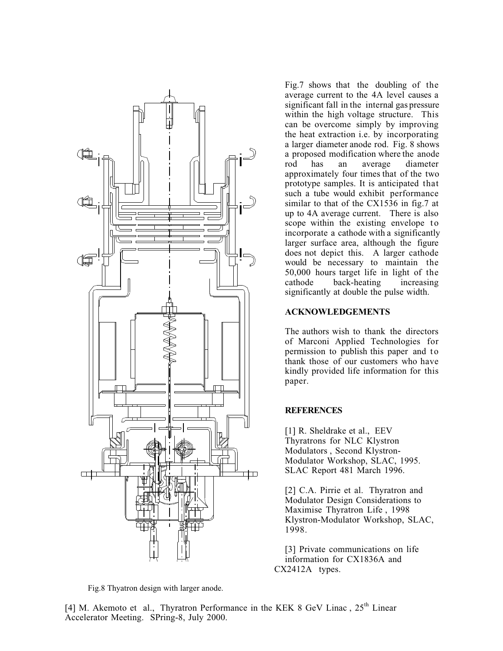

Fig.8 Thyatron design with larger anode.

Fig.7 shows that the doubling of the average current to the 4A level causes a significant fall in the internal gas pressure within the high voltage structure. This can be overcome simply by improving the heat extraction i.e. by incorporating a larger diameter anode rod. Fig. 8 shows a proposed modification where the anode rod has an average diameter approximately four times that of the two prototype samples. It is anticipated that such a tube would exhibit performance similar to that of the CX1536 in fig.7 at up to 4A average current. There is also scope within the existing envelope to incorporate a cathode with a significantly larger surface area, although the figure does not depict this. A larger cathode would be necessary to maintain the 50,000 hours target life in light of the cathode back-heating increasing significantly at double the pulse width.

## **ACKNOWLEDGEMENTS**

The authors wish to thank the directors of Marconi Applied Technologies for permission to publish this paper and to thank those of our customers who have kindly provided life information for this paper.

## **REFERENCES**

[1] R. Sheldrake et al., EEV Thyratrons for NLC Klystron Modulators , Second Klystron-Modulator Workshop, SLAC, 1995. SLAC Report 481 March 1996.

[2] C.A. Pirrie et al. Thyratron and Modulator Design Considerations to Maximise Thyratron Life , 1998 Klystron-Modulator Workshop, SLAC, 1998.

[3] Private communications on life information for CX1836A and CX2412A types.

[4] M. Akemoto et al., Thyratron Performance in the KEK 8 GeV Linac, 25<sup>th</sup> Linear Accelerator Meeting. SPring-8, July 2000.